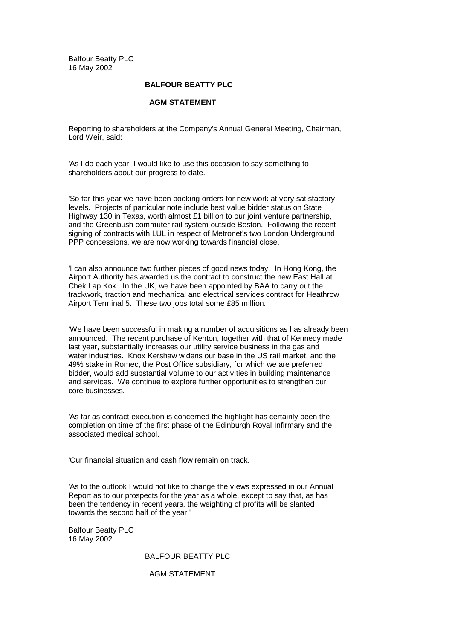Balfour Beatty PLC 16 May 2002

## **BALFOUR BEATTY PLC**

## **AGM STATEMENT**

Reporting to shareholders at the Company's Annual General Meeting, Chairman, Lord Weir, said:

'As I do each year, I would like to use this occasion to say something to shareholders about our progress to date.

'So far this year we have been booking orders for new work at very satisfactory levels. Projects of particular note include best value bidder status on State Highway 130 in Texas, worth almost £1 billion to our joint venture partnership, and the Greenbush commuter rail system outside Boston. Following the recent signing of contracts with LUL in respect of Metronet's two London Underground PPP concessions, we are now working towards financial close.

'I can also announce two further pieces of good news today. In Hong Kong, the Airport Authority has awarded us the contract to construct the new East Hall at Chek Lap Kok. In the UK, we have been appointed by BAA to carry out the trackwork, traction and mechanical and electrical services contract for Heathrow Airport Terminal 5. These two jobs total some £85 million.

'We have been successful in making a number of acquisitions as has already been announced. The recent purchase of Kenton, together with that of Kennedy made last year, substantially increases our utility service business in the gas and water industries. Knox Kershaw widens our base in the US rail market, and the 49% stake in Romec, the Post Office subsidiary, for which we are preferred bidder, would add substantial volume to our activities in building maintenance and services. We continue to explore further opportunities to strengthen our core businesses.

'As far as contract execution is concerned the highlight has certainly been the completion on time of the first phase of the Edinburgh Royal Infirmary and the associated medical school.

'Our financial situation and cash flow remain on track.

'As to the outlook I would not like to change the views expressed in our Annual Report as to our prospects for the year as a whole, except to say that, as has been the tendency in recent years, the weighting of profits will be slanted towards the second half of the year.'

Balfour Beatty PLC 16 May 2002

## BALFOUR BEATTY PLC

## AGM STATEMENT